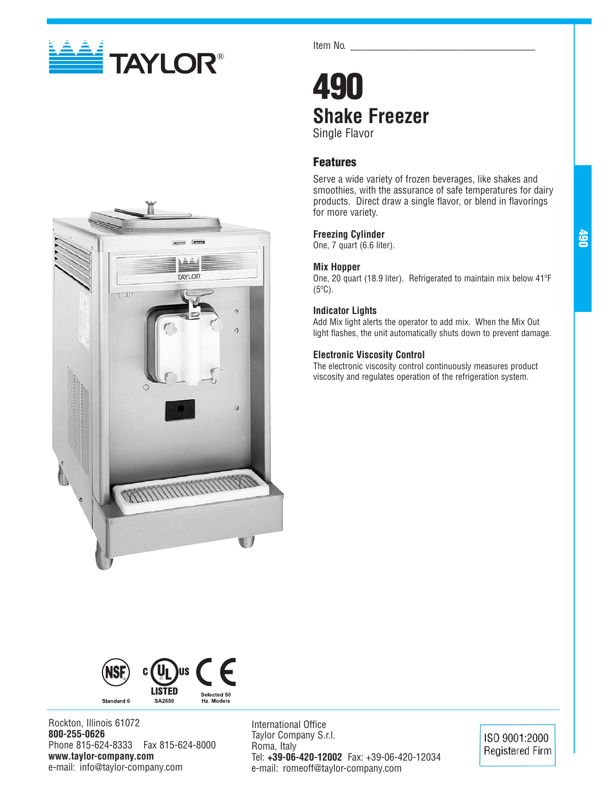



## **490 Shake Freezer** Single Flavor

## **Features**

Serve a wide variety of frozen beverages, like shakes and smoothies, with the assurance of safe temperatures for dairy products. Direct draw a single flavor, or blend in flavorings for more variety.

## **Freezing Cylinder**

One, 7 quart (6.6 liter).

## **Mix Hopper**

One, 20 quart (18.9 liter). Refrigerated to maintain mix below 41ºF (5ºC).

## **Indicator Lights**

Add Mix light alerts the operator to add mix. When the Mix Out light flashes, the unit automatically shuts down to prevent damage.

## **Electronic Viscosity Control**

The electronic viscosity control continuously measures product viscosity and regulates operation of the refrigeration system.





Rockton, Illinois 61072 **800-255-0626** Phone 815-624-8333 Fax 815-624-8000 **www.taylor-company.com** e-mail: info@taylor-company.com

International Office Taylor Company S.r.l. Roma, Italy Tel: **+39-06-420-12002** Fax: +39-06-420-12034 e-mail: romeoff@taylor-company.com